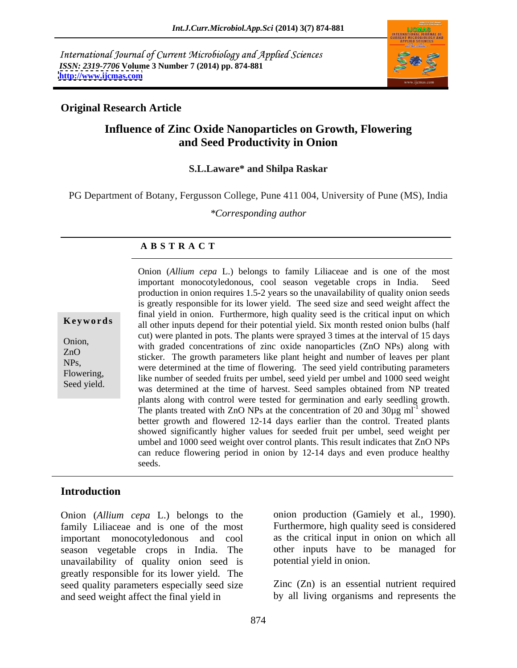International Journal of Current Microbiology and Applied Sciences *ISSN: 2319-7706* **Volume 3 Number 7 (2014) pp. 874-881 <http://www.ijcmas.com>**



### **Original Research Article**

## **Influence of Zinc Oxide Nanoparticles on Growth, Flowering and Seed Productivity in Onion**

### **S.L.Laware\* and Shilpa Raskar**

PG Department of Botany, Fergusson College, Pune 411 004, University of Pune (MS), India

*\*Corresponding author*

### **A B S T R A C T**

**Keywords** all other inputs depend for their potential yield. Six month rested onion bulbs (half Onion,<br>
with graded concentrations of zinc oxide nanoparticles (ZnO NPs) along with ZnO<br>sticker. The growth parameters like plant height and number of leaves per plant NPs,<br>were determined at the time of flowering. The seed yield contributing parameters Flowering,<br>
like number of seeded fruits per umbel, seed yield per umbel and 1000 seed weight Seed yield.<br>was determined at the time of harvest. Seed samples obtained from NP treated Onion (*Allium cepa* L.) belongs to family Liliaceae and is one of the most important monocotyledonous, cool season vegetable crops in India. Seed production in onion requires 1.5-2 years so the unavailability of quality onion seeds is greatly responsible for its lower yield. The seed size and seed weight affect the final yield in onion. Furthermore, high quality seed is the critical input on which cut) were planted in pots. The plants were sprayed 3 times at the interval of 15 days plants along with control were tested for germination and early seedling growth. The plants treated with ZnO NPs at the concentration of 20 and  $30\mu g$  ml<sup>-1</sup> showed showed better growth and flowered 12-14 days earlier than the control. Treated plants showed significantly higher values for seeded fruit per umbel, seed weight per umbel and 1000 seed weight over control plants. This result indicates that ZnO NPs can reduce flowering period in onion by 12-14 days and even produce healthy seeds.

### **Introduction**

Onion (*Allium cepa* L.) belongs to the family Liliaceae and is one of the most important monocotyledonous and cool season vegetable crops in India. The unavailability of quality onion seed is greatly responsible for its lower yield. The seed quality parameters especially seed size and seed weight affect the final yield in by all living organisms and represents the

onion production (Gamiely et al*.,* 1990). Furthermore, high quality seed is considered as the critical input in onion on which all other inputs have to be managed for potential yield in onion.

Zinc (Zn) is an essential nutrient required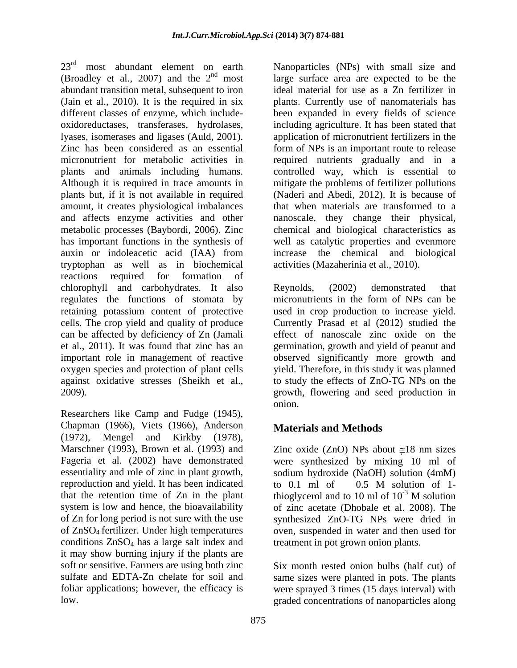23<sup>rd</sup> most abundant element on earth Manoparticles (NPs) with small size and (Broadley et al., 2007) and the  $2<sup>nd</sup>$  most large surface area are expected to be the abundant transition metal, subsequent to iron (Jain et al., 2010). It is the required in six plants. Currently use of nanomaterials has different classes of enzyme, which include- been expanded in every fields of science oxidoreductases, transferases, hydrolases, including agriculture. It has been stated that lyases, isomerases and ligases (Auld, 2001). application of micronutrient fertilizers in the Zinc has been considered as an essential form of NPs is an important route to release micronutrient for metabolic activities in required nutrients gradually and in a plants and animals including humans. controlled way, which is essential to Although it is required in trace amounts in mitigate the problems of fertilizer pollutions plants but, if it is not available in required amount, it creates physiological imbalances and affects enzyme activities and other nanoscale, they change their physical, metabolic processes (Baybordi, 2006). Zinc has important functions in the synthesis of well as catalytic properties and evenmore auxin or indoleacetic acid (IAA) from increase the chemical and biological tryptophan as well as in biochemical reactions required for formation of chlorophyll and carbohydrates. It also Reynolds, (2002) demonstrated that regulates the functions of stomata by micronutrients in the form of NPs can be retaining potassium content of protective used in crop production to increase yield. cells. The crop yield and quality of produce Currently Prasad et al (2012) studied the can be affected by deficiency of Zn (Jamali effect of nanoscale zinc oxide on the et al., 2011). It was found that zinc has an germination, growth and yield of peanut and important role in management of reactive observed significantly more growth and oxygen species and protection of plant cells yield. Therefore, in this study it was planned against oxidative stresses (Sheikh et al., to study the effects of ZnO-TG NPs on the

Researchers like Camp and Fudge (1945), Chapman (1966), Viets (1966), Anderson (1972), Mengel and Kirkby (1978), reproduction and yield. It has been indicated to 0.1 ml of 0.5 M solution of 1that the retention time of Zn in the plant thioglycerol and to 10 ml of  $10^{-3}$  M solution conditions ZnSO<sub>4</sub> has a large salt index and treatment in pot grown onion plants. it may show burning injury if the plants are soft or sensitive. Farmers are using both zinc Six month rested onion bulbs (half cut) of sulfate and EDTA-Zn chelate for soil and same sizes were planted in pots. The plants foliar applications; however, the efficacy is were sprayed 3 times (15 days interval) with

ideal material for use as a Zn fertilizer in (Naderi and Abedi, 2012). It is because of that when materials are transformed to a chemical and biological characteristics as activities (Mazaherinia et al., 2010).

2009). growth, flowering and seed production in Reynolds, (2002) demonstrated that onion.

# **Materials and Methods**

Marschner (1993), Brown et al. (1993) and  $\qquad \qquad$  Zinc oxide (ZnO) NPs about  $\approx 18$  nm sizes Fageria et al. (2002) have demonstrated were synthesized by mixing 10 ml of essentiality and role of zinc in plant growth, sodium hydroxide (NaOH) solution (4mM) system is low and hence, the bioavailability of zinc acetate (Dhobale et al. 2008). The of Zn for long period is not sure with the use synthesized ZnO-TG NPs were dried in of ZnSO4 fertilizer. Under high temperatures oven, suspended in water and then used for to 0.1 ml of 0.5 M solution of 1 thioglycerol and to 10 ml of  $10^{-3}$  M solution

low. graded concentrations of nanoparticles along treatment in pot grown onion plants. Six month rested onion bulbs (half cut) of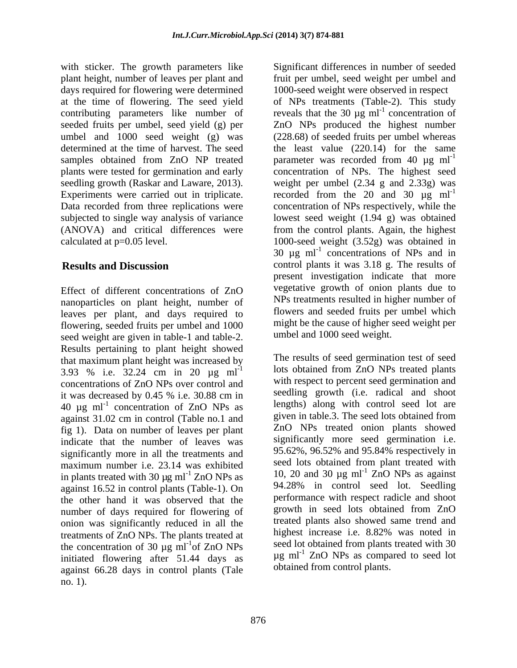with sticker. The growth parameters like Significant differences in number of seeded plant height, number of leaves per plant and fruit per umbel, seed weight per umbel and days required for flowering were determined at the time of flowering. The seed yield of NPs treatments (Table-2). This study contributing parameters like number of reveals that the 30  $\mu$ g ml<sup>-1</sup> concentration of seeded fruits per umbel, seed yield (g) per ZnO NPs produced the highest number umbel and 1000 seed weight (g) was (228.68) of seeded fruits per umbel whereas determined at the time of harvest. The seed the least value (220.14) for the same samples obtained from ZnO NP treated parameter was recorded from 40  $\mu$ g ml<sup>-1</sup> plants were tested for germination and early concentration of NPs. The highest seed seedling growth (Raskar and Laware, 2013). weight per umbel (2.34 g and 2.33g) was Experiments were carried out in triplicate. recorded from the 20 and 30  $\mu$ g ml<sup>-1</sup> Data recorded from three replications were concentration of NPs respectively, while the subjected to single way analysis of variance lowest seed weight (1.94 g) was obtained (ANOVA) and critical differences were from the control plants. Again, the highest calculated at p=0.05 level. 1000-seed weight (3.52g) was obtained in

Effect of different concentrations of ZnO nanoparticles on plant height, number of leaves per plant, and days required to flowering, seeded fruits per umbel and 1000 seed weight are given in table-1 and table-2. Results pertaining to plant height showed that maximum plant height was increased by 3.93 % i.e. 32.24 cm in 20 µg ml-1 concentrations of ZnO NPs over control and 40  $\mu$ g ml<sup>-1</sup> concentration of ZnO NPs as against 31.02 cm in control (Table no.1 and fig 1). Data on number of leaves per plant indicate that the number of leaves was significantly more in all the treatments and maximum number i.e. 23.14 was exhibited in plants treated with 30  $\mu$ g ml<sup>-1</sup> ZnO NPs as against 16.52 in control plants (Table-1). On the other hand it was observed that the number of days required for flowering of onion was significantly reduced in all the treatments of ZnO NPs. The plants treated at the concentration of 30  $\mu$ g ml<sup>-1</sup> of ZnO NPs initiated flowering after 51.44 days as against 66.28 days in control plants (Tale no. 1).

**Results and Discussion** control plants it was 3.18 g. The results of 1000-seed weight were observed in respect concentration of 30  $\mu$ g ml<sup>-1</sup> concentrations of NPs and in present investigation indicate that more vegetative growth of onion plants due to NPs treatments resulted in higher number of flowers and seeded fruits per umbel which might be the cause of higher seed weight per umbel and 1000 seed weight.

it was decreased by 0.45 % i.e. 30.88 cm in concentration of ZnO NPs as lengths) along with control seed lot are of  $ZnO$  NPs seed lot obtained from plants treated with 30 The results of seed germination test of seed lots obtained from ZnO NPs treated plants with respect to percent seed germination and seedling growth (i.e. radical and shoot lengths) along with control seed lot are given in table.3. The seed lots obtained from ZnO NPs treated onion plants showed significantly more seed germination i.e. 95.62%, 96.52% and 95.84% respectively in seed lots obtained from plant treated with 10, 20 and 30  $\mu$ g ml<sup>-1</sup> ZnO NPs as against 94.28% in control seed lot. Seedling performance with respect radicle and shoot growth in seed lots obtained from ZnO treated plants also showed same trend and highest increase i.e. 8.82% was noted in seed lot obtained from plants treated with 30  $\mu$ g ml<sup>-1</sup> ZnO NPs as compared to seed lot obtained from control plants.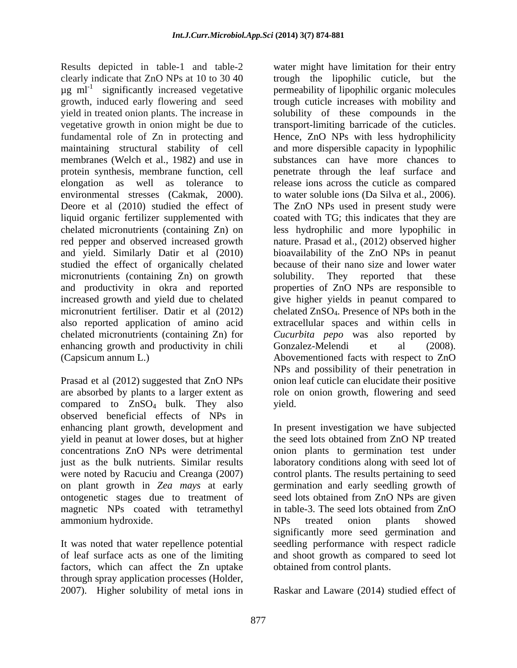Results depicted in table-1 and table-2 water might have limitation for their entry  $\mu$ g ml<sup>-1</sup> significantly increased vegetative<br>growth, induced early flowering and seed environmental stresses (Cakmak, 2000). to water soluble ions (Da Silva et al., 2006). Deore et al (2010) studied the effect of The ZnO NPs used in present study were studied the effect of organically chelated micronutrients (containing Zn) on growth solubility. enhancing growth and productivity in chili Gonzalez-Melendi et al (2008). (Capsicum annum L.) Abovementioned facts with respect to ZnO

Prasad et al (2012) suggested that ZnO NPs compared to  $ZnSO_4$  bulk. They also vield. observed beneficial effects of NPs in enhancing plant growth, development and In present investigation we have subjected yield in peanut at lower doses, but at higher concentrations ZnO NPs were detrimental onion plants to germination test under just as the bulk nutrients. Similar results laboratory conditions along with seed lot of were noted by Racuciu and Creanga (2007) control plants. The results pertaining to seed on plant growth in *Zea mays* at early germination and early seedling growth of ontogenetic stages due to treatment of seed lots obtained from ZnO NPs are given magnetic NPs coated with tetramethyl in table-3. The seed lots obtained from ZnO ammonium hydroxide. NPs treated onion plants showed

factors, which can affect the Zn uptake through spray application processes (Holder, 2007). Higher solubility of metal ions in 2007). Higher solubility of metal ions in Raskar and Laware (2014) studied effect of

clearly indicate that ZnO NPs at 10 to 30 40 trough the lipophilic cuticle, but the significantly increased vegetative permeability of lipophilic organic molecules growth, induced early flowering and seed trough cuticle increases with mobility and yield in treated onion plants. The increase in solubility of these compounds in the vegetative growth in onion might be due to transport-limiting barricade of the cuticles. fundamental role of Zn in protecting and Hence, ZnO NPs with less hydrophilicity maintaining structural stability of cell and more dispersible capacity in lypophilic membranes (Welch et al., 1982) and use in substances can have more chances to protein synthesis, membrane function, cell penetrate through the leaf surface and elongation as well as tolerance to release ions across the cuticle as compared liquid organic fertilizer supplemented with coated with TG; this indicates that they are chelated micronutrients (containing Zn) on less hydrophilic and more lypophilic in red pepper and observed increased growth nature. Prasad et al., (2012) observed higher and yield. Similarly Datir et al (2010) bioavailability of the ZnO NPs in peanut and productivity in okra and reported properties of ZnO NPs are responsible to increased growth and yield due to chelated give higher yields in peanut compared to micronutrient fertiliser. Datir et al (2012) chelated ZnSO<sub>4</sub>. Presence of NPs both in the also reported application of amino acid extracellular spaces and within cells in chelated micronutrients (containing Zn) for *Cucurbita pepo* was also reported by are absorbed by plants to a larger extent as role on onion growth, flowering and seed to water soluble ions (Da Silva et al., 2006).<br>The ZnO NPs used in present study were because of their nano size and lower water They reported that these Gonzalez-Melendi et al (2008).<br>Abovementioned facts with respect to ZnO NPs and possibility of their penetration in onion leaf cuticle can elucidate their positive yield.

It was noted that water repellence potential seedling performance with respect radicle of leaf surface acts as one of the limiting and shoot growth as compared to seed lot the seed lots obtained from ZnO NP treated in table-3. The seed lots obtained from ZnO NPs treated onion plants showed significantly more seed germination and obtained from control plants.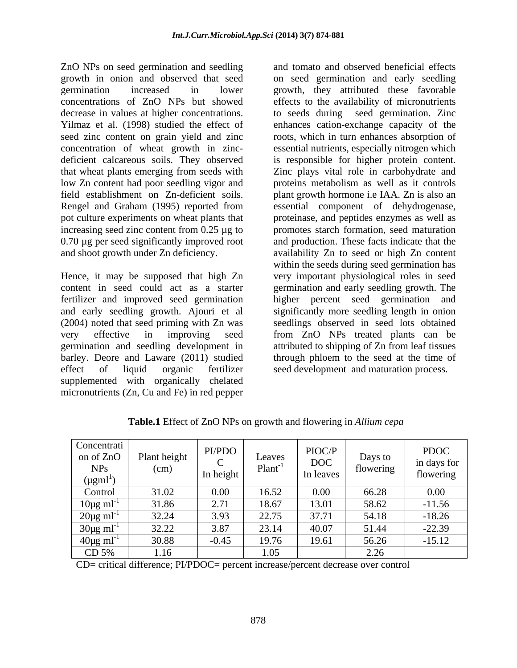ZnO NPs on seed germination and seedling low Zn content had poor seedling vigor and

Hence, it may be supposed that high Zn content in seed could act as a starter germination and early seedling growth.The fertilizer and improved seed germination higher percent seed germination and and early seedling growth. Ajouri et al significantly more seedling length in onion (2004) noted that seed priming with Zn was very effective in improving seed from ZnO NPs treated plants can be germination and seedling development in attributed to shipping of Zn from leaf tissues barley. Deore and Laware (2011) studied effect of liquid organic fertilizer seed development and maturation process. supplemented with organically chelated micronutrients (Zn, Cu and Fe) in red pepper

growth in onion and observed that seed on seed germination and early seedling germination increased in lower growth, they attributed these favorable concentrations of ZnO NPs but showed effects to the availability of micronutrients decrease in values at higher concentrations. to seeds during seed germination. Zinc Yilmaz et al. (1998) studied the effect of enhances cation-exchange capacity of the seed zinc content on grain yield and zinc roots, which in turn enhances absorption of concentration of wheat growth in zinc- essential nutrients, especially nitrogen which deficient calcareous soils. They observed is responsible for higher protein content. that wheat plants emerging from seeds with Zinc plays vital role in carbohydrate and field establishment on Zn-deficient soils. plant growth hormone i.e IAA. Zn is also an Rengel and Graham (1995) reported from essential component of dehydrogenase, pot culture experiments on wheat plants that proteinase, and peptides enzymes as well as increasing seed zinc content from 0.25 µg to promotes starch formation, seed maturation 0.70 µg per seed significantly improved root and production. These facts indicate that the and shoot growth under Zn deficiency. availability Zn to seed or high Zn content and tomato and observed beneficial effects proteins metabolism as well as it controls within the seeds during seed germination has very important physiological roles in seed seedlings observed in seed lots obtained through phloem to the seed at the time of

| Concentrati<br>on of ZnO<br><b>NPs</b><br>$(\mu gml)$ | Plant height<br>(cm) | PI/PDO<br>In height | Leaves<br>Plan | PIOC/F<br>$\rm{DOC}$<br>In leaves | Days to<br>flowering | <b>PDOC</b><br>in days for<br>flowering |
|-------------------------------------------------------|----------------------|---------------------|----------------|-----------------------------------|----------------------|-----------------------------------------|
| Control                                               | 31.02                | 0.00                | 16.52          | $0.00\,$                          | 66.28                | $0.00\,$                                |
| $10\mu g$ ml                                          | 31.86                | 2.71                | 18.67          | 13.01                             | 58.62                | $-11.56$                                |
| $20\mu\text{g} \text{ ml}^{-1}$                       | 32.24                | 3.93                | 22.75          | 37.71                             | 54.18                | $-18.26$                                |
| $\frac{30\mu\text{g ml}^{-1}}{20\mu\text{g ml}^{-1}}$ | 32.22                | 3.87                | 23.14          | 40.07                             | 51.44                | $-22.39$                                |
| $40\mu g$ ml                                          | 30.88                | $-0.45$             | 19.76          | 19.61                             | 56.26                | $-15.12$                                |
| CD 5%                                                 | 1.16                 |                     | 1.05           |                                   | 2.26<br>2.20         |                                         |

**Table.1** Effect of ZnO NPs on growth and flowering in *Allium cepa*

CD= critical difference; PI/PDOC= percent increase/percent decrease over control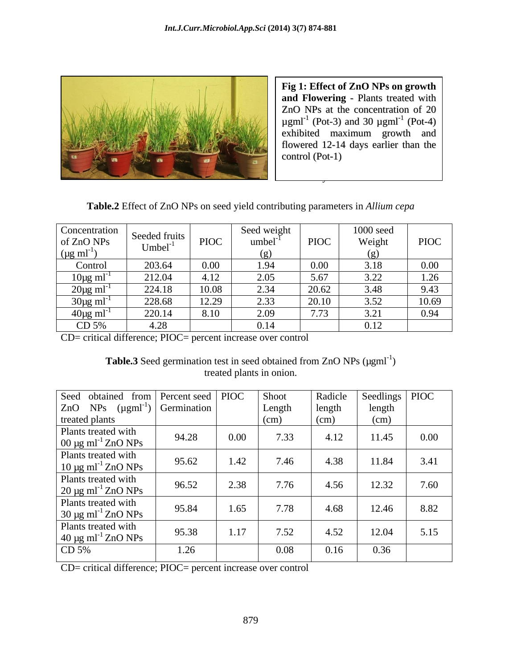

flowered 12-14 days earlier than the  $control (Pot-1)$ **Fig 1: Effect of ZnO NPs on growth and Flowering** - Plants treated with ZnO NPs at the concentration of 20  $\mu$ gml<sup>-1</sup> (Pot-3) and 30  $\mu$ gml<sup>-1</sup> (Pot-4)  $(Pot-4)$ exhibited maximum growth and control (Pot-1)

 $\mathcal{B}$  Bacterial Isolates in the set of  $\mathcal{B}$ 

**Table.2** Effect of ZnO NPs on seed yield contributing parameters in *Allium cepa*

| <b>Concentration</b> | Seeded fruits |                                | Seed weigh       |             | $1000$ seed  |             |
|----------------------|---------------|--------------------------------|------------------|-------------|--------------|-------------|
| of ZnO NPs           | $Umbel^{-1}$  | <b>PIOC</b>                    | umbel            | <b>PIOC</b> | Weight       | <b>PIOC</b> |
| $\mu$ g ml           |               |                                | 1 Y J<br>$\sim$  |             |              |             |
| Control              | 203.64        | 0.00                           | $\Omega$         | v.vv        | 3.18         | $0.00\,$    |
| $10\mu g$ ml         | 212.04        | ⊣.⊥∠                           | $\Omega$<br>2.UJ | 5.67        | 2.22<br>∟∠.د | 1.26        |
| $20\mu g$ m          | 224.18        | 10.08                          | 2.34             | 20.62       | 3.48         | 9.43        |
| 30µg ml              | 228.68        | 12.20<br>$1 \angle . \angle J$ | 2.33             | 20.10       | 3.52         | 10.69       |
| $40\mu g$ ml         | 220.14        |                                | 2.09             | 1.13        | J.L          | 0.94        |
| CD 5%                | $\sim$        |                                | 0.14             |             | 0.12<br>0.12 |             |

CD= critical difference; PIOC= percent increase over control

Table.3 Seed germination test in seed obtained from ZnO NPs (µgml<sup>-1</sup>) ) and the contract of  $\overline{a}$ treated plants in onion.

| Seed obtained from Percent seed PIOC<br>Seedlings   PIOC<br>Shoot<br>Radicle<br>$\begin{bmatrix} \text{ZnO} & \text{NPs} & (\mu \text{gml}^{-1}) \end{bmatrix}$ Germination<br>Length<br>length<br>length<br>(cm)<br>(cm)<br>(cm)<br>94.28<br>$0.00\,$<br>7.33<br>4.12<br>11.45<br>$0.00\,$<br>95.62<br>3.41<br>7.46<br>4.38<br>11.84<br>1.42<br>96.52<br>7.60<br>7.76<br>2.38<br>12.32<br>4.56<br>95.84<br>8.82<br>7.78<br>12.46<br>1.65<br>4.68<br>95.38<br>5.15<br>7.52<br>12.04<br>1.17<br>4.52<br>0.36<br>0.08<br>1.26<br>0.16 |                                                            |  |  |  |
|-------------------------------------------------------------------------------------------------------------------------------------------------------------------------------------------------------------------------------------------------------------------------------------------------------------------------------------------------------------------------------------------------------------------------------------------------------------------------------------------------------------------------------------|------------------------------------------------------------|--|--|--|
|                                                                                                                                                                                                                                                                                                                                                                                                                                                                                                                                     |                                                            |  |  |  |
|                                                                                                                                                                                                                                                                                                                                                                                                                                                                                                                                     |                                                            |  |  |  |
|                                                                                                                                                                                                                                                                                                                                                                                                                                                                                                                                     | treated plants                                             |  |  |  |
|                                                                                                                                                                                                                                                                                                                                                                                                                                                                                                                                     | Plants treated with<br>$00 \mu g$ ml <sup>-1</sup> ZnO NPs |  |  |  |
|                                                                                                                                                                                                                                                                                                                                                                                                                                                                                                                                     | Plants treated with<br>$10 \mu g$ ml <sup>-1</sup> ZnO NPs |  |  |  |
|                                                                                                                                                                                                                                                                                                                                                                                                                                                                                                                                     | Plants treated with<br>$20 \mu g$ ml <sup>-1</sup> ZnO NPs |  |  |  |
|                                                                                                                                                                                                                                                                                                                                                                                                                                                                                                                                     | Plants treated with<br>$30 \mu g$ ml <sup>-1</sup> ZnO NPs |  |  |  |
|                                                                                                                                                                                                                                                                                                                                                                                                                                                                                                                                     | Plants treated with<br>$40 \mu g$ ml <sup>-1</sup> ZnO NPs |  |  |  |
|                                                                                                                                                                                                                                                                                                                                                                                                                                                                                                                                     | CD $5%$                                                    |  |  |  |

CD= critical difference; PIOC= percent increase over control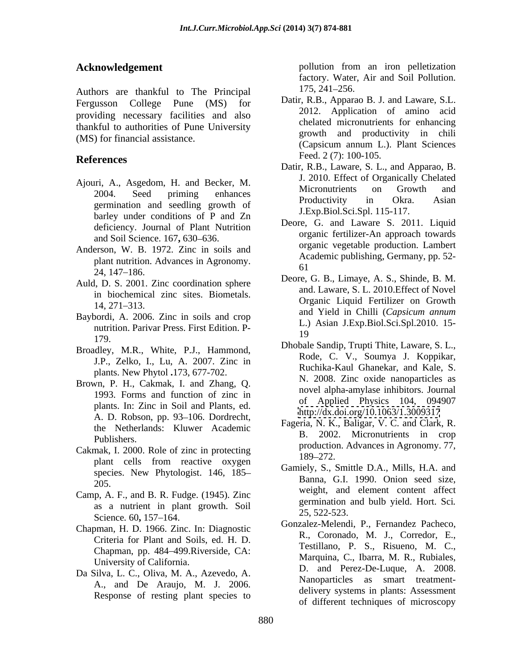Authors are thankful to The Principal 175, 241-256. Fergusson College Pune (MS) for providing necessary facilities and also thankful to authorities of Pune University

- Ajouri, A., Asgedom, H. and Becker, M.<br>Micronutrients on Growth and barley under conditions of P and Zn deficiency. Journal of Plant Nutrition and Soil Science. 167, 630–636.
- Anderson, W. B. 1972. Zinc in soils and plant nutrition. Advances in Agronomy.  $24,147-186.$
- Auld, D. S. 2001. Zinc coordination sphere in biochemical zinc sites. Biometals.
- nutrition. Parivar Press. First Edition. P-<br>19
- Broadley, M.R., White, P.J., Hammond, J.P., Zelko, I., Lu, A. 2007. Zinc in plants. New Phytol **.**173, 677-702.
- Brown, P. H., Cakmak, I. and Zhang, Q. plants. In: Zinc in Soil and Plants, ed.<br> $\frac{\text{but } \text{t}}{\text{http://dx.doi.org/10.1063/1.3009317}}$ A. D. Robson, pp. 93-106. Dordrecht, the Netherlands: Kluwer Academic
- Cakmak, I. 2000. Role of zinc in protecting production<br>189–272. plant cells from reactive oxygen  $\frac{109-272}{2}$ species. New Phytologist. 146, 185
- Camp, A. F., and B. R. Fudge. (1945). Zinc as a nutrient in plant growth. Soil  $\frac{9}{25}$  522-523 Science. 60, 157–164. 23, 322-323.
- Chapman, H. D. 1966. Zinc. In: Diagnostic Criteria for Plant and Soils, ed. H. D. Chapman, pp. 484 499.Riverside, CA: University of California.
- Da Silva, L. C., Oliva, M. A., Azevedo, A. A., and De Araujo, M. J. 2006. Response of resting plant species to

**Acknowledgement pollution** from an iron pelletization factory. Water, Air and Soil Pollution. 175, 241 256.

- (MS) for financial assistance.<br>(Capsicum annum L.). Plant Sciences **References** reed  $2(7)$ : 100-105. Datir, R.B., Apparao B. J. and Laware, S.L. 2012. Application of amino acid chelated micronutrients for enhancing growth and productivity in chili (Capsicum annum L.). Plant Sciences Feed. 2 (7): 100-105.
	- 2004. Seed priming enhances **Executive Secondary Secondary Secondary Secondary Secondary Secondary Secondary Secondary Secondary Secondary Secondary Secondary Secondary Secondary Secondary Secondary Secondary Secondary Sec** germination and seedling growth of **EXECUTE:** Productivity in Okra. Asian germination and seedling growth of Datir, R.B., Laware, S. L., and Apparao, B. J. 2010. Effect of Organically Chelated Micronutrients on Growth and Productivity in Okra. Asian J.Exp.Biol.Sci.Spl. 115-117.
		- Deore, G. and Laware S. 2011. Liquid organic fertilizer-An approach towards organic vegetable production. Lambert Academic publishing, Germany, pp. 52- 61
- $14, 271-313.$  Organic Equipment on Orowan Baybordi, A. 2006. Zinc in soils and crop and Yield in Chilli (Capsicum annum Baybordi, A. 2006. Zinc in soils and crop Deore, G. B., Limaye, A. S., Shinde, B. M. and. Laware, S. L. 2010.Effect of Novel Organic Liquid Fertilizer on Growth and Yield in Chilli (*Capsicum annum* L.) Asian J.Exp.Biol.Sci.Spl.2010. 15- 19
	- 179.<br>
	Dhobale Sandip, Trupti Thite, Laware, S. L., 1993. Forms and function of zinc in the library in the library and the state of Applied Physics 104, 094907 Rode, C. V., Soumya J. Koppikar, Ruchika-Kaul Ghanekar, and Kale, S. N. 2008. Zinc oxide nanoparticles as novel alpha-amylase inhibitors. Journal of Applied Physics 104, 094907 <http://dx.doi.org/10.1063/1.3009317>
	- Publishers.<br>
	production. Advances in Agronomy. 77,<br>
	production. Advances in Agronomy. 77, Fageria, N. K., Baligar, V. C. and Clark, R. B. 2002. Micronutrients in crop 189–272.
	- 205.<br>
	anna, G.I. 1770. Omon seed size,<br>
	weight, and element content affect Gamiely, S., Smittle D.A., Mills, H.A. and Banna, G.I. 1990. Onion seed size, germination and bulb yield. Hort. Sci*.* 25, 522-523.
		- Gonzalez-Melendi, P., Fernandez Pacheco, R., Coronado, M. J., Corredor, E., Testillano, P. S., Risueno, M. C., Marquina, C., Ibarra, M. R., Rubiales, D. and Perez-De-Luque, A. 2008. Nanoparticles as smart treatment delivery systems in plants: Assessment of different techniques of microscopy